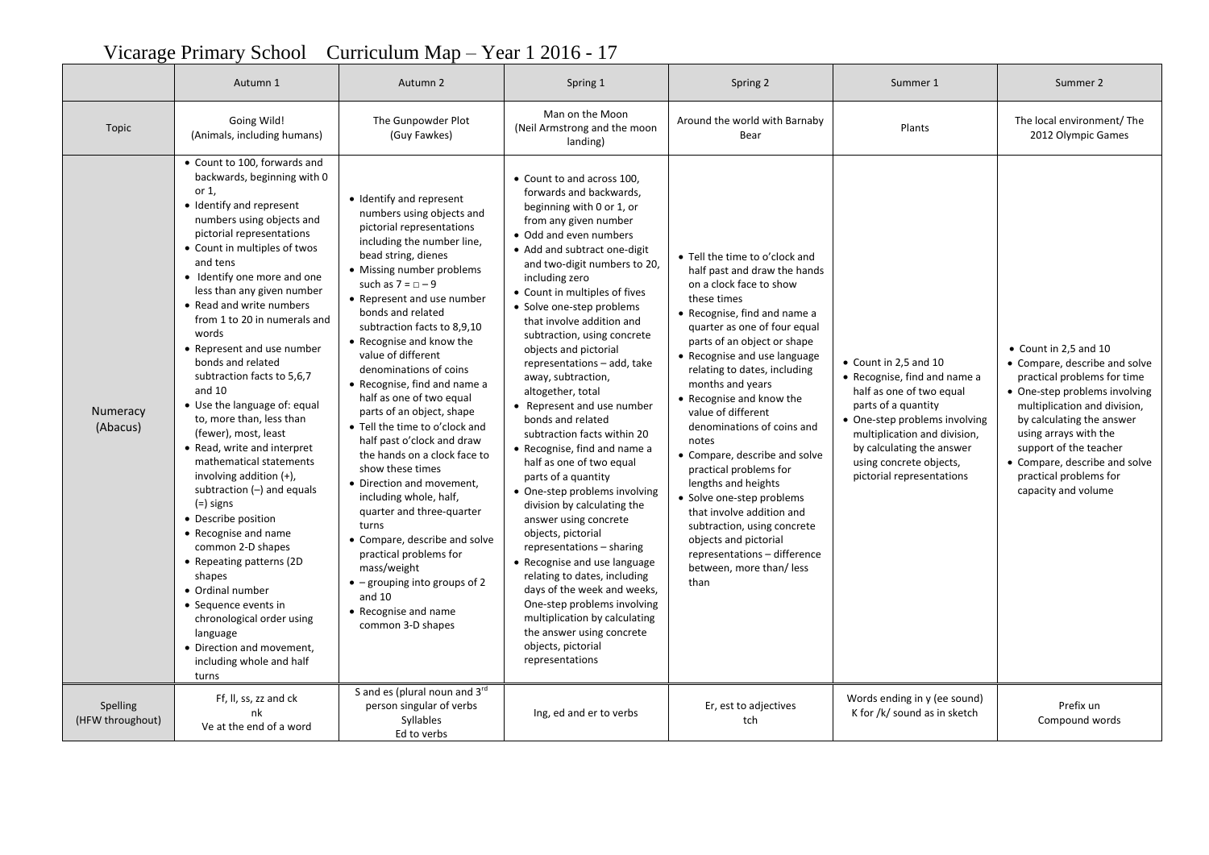## Autumn 1 | Autumn 2 | Spring 1 | Spring 2 | Summer 1 | Summer 2 Topic Going Wild! (Animals, including humans) The Gunpowder Plot (Guy Fawkes) Man on the Moon (Neil Armstrong and the moon landing) Around the world with Barnaby vorld with Barnaby **Example 2012** Plants The local environment/ The local environment/ The Rear 2012 Olympic Games Numeracy (Abacus) Count to 100, forwards and backwards, beginning with 0 or 1, • Identify and represent numbers using objects and pictorial representations Count in multiples of twos and tens • Identify one more and one less than any given number Read and write numbers from 1 to 20 in numerals and words Represent and use number bonds and related subtraction facts to 5,6,7 and 10 Use the language of: equal to, more than, less than (fewer), most, least Read, write and interpret mathematical statements involving addition  $(+)$ . subtraction (-) and equals (=) signs • Describe position Recognise and name common 2-D shapes Repeating patterns (2D shapes Ordinal number • Sequence events in chronological order using language Direction and movement, including whole and half turns • Identify and represent numbers using objects and pictorial representations including the number line, bead string, dienes • Missing number problems such as  $7 = 0 - 9$ • Represent and use number bonds and related subtraction facts to 8,9,10 Recognise and know the value of different denominations of coins Recognise, find and name a half as one of two equal parts of an object, shape Tell the time to o'clock and half past o'clock and draw the hands on a clock face to show these times • Direction and movement. including whole, half, quarter and three-quarter turns Compare, describe and solve practical problems for mass/weight  $\bullet$  – grouping into groups of 2 and 10 Recognise and name common 3-D shapes • Count to and across 100. forwards and backwards, beginning with 0 or 1, or from any given number Odd and even numbers • Add and subtract one-digit and two-digit numbers to 20, including zero Count in multiples of fives • Solve one-step problems that involve addition and subtraction, using concrete objects and pictorial representations – add, take away, subtraction, altogether, total Represent and use number bonds and related subtraction facts within 20 Recognise, find and name a half as one of two equal parts of a quantity • One-step problems involving division by calculating the answer using concrete objects, pictorial representations – sharing • Recognise and use language relating to dates, including days of the week and weeks, One-step problems involving multiplication by calculating the answer using concrete objects, pictorial representations Tell the time to o'clock and half past and draw the hands on a clock face to show these times Recognise, find and name a quarter as one of four equal parts of an object or shape • Recognise and use language relating to dates, including months and years Recognise and know the value of different denominations of coins and notes Compare, describe and solve practical problems for lengths and heights • Solve one-step problems that involve addition and subtraction, using concrete objects and pictorial representations – difference between, more than/ less than Count in 2,5 and 10 Recognise, find and name a half as one of two equal parts of a quantity One-step problems involving multiplication and division, by calculating the answer using concrete objects, pictorial representations Count in 2,5 and 10 Compare, describe and solve practical problems for time • One-step problems involving multiplication and division, by calculating the answer using arrays with the support of the teacher Compare, describe and solve practical problems for capacity and volume Spelling (HFW throughout) Ff, ll, ss, zz and ck nk Ve at the end of a word S and es (plural noun and 3rd person singular of verbs Syllables Ed to verbs Ing, ed and er to verbs Er, est to adjectives tch Words ending in y (ee sound)  $\frac{1}{2}$  For  $\frac{1}{2}$  for  $\frac{1}{2}$  in sketch Prefix un Compound words

## Vicarage Primary School Curriculum Map – Year 1 2016 - 17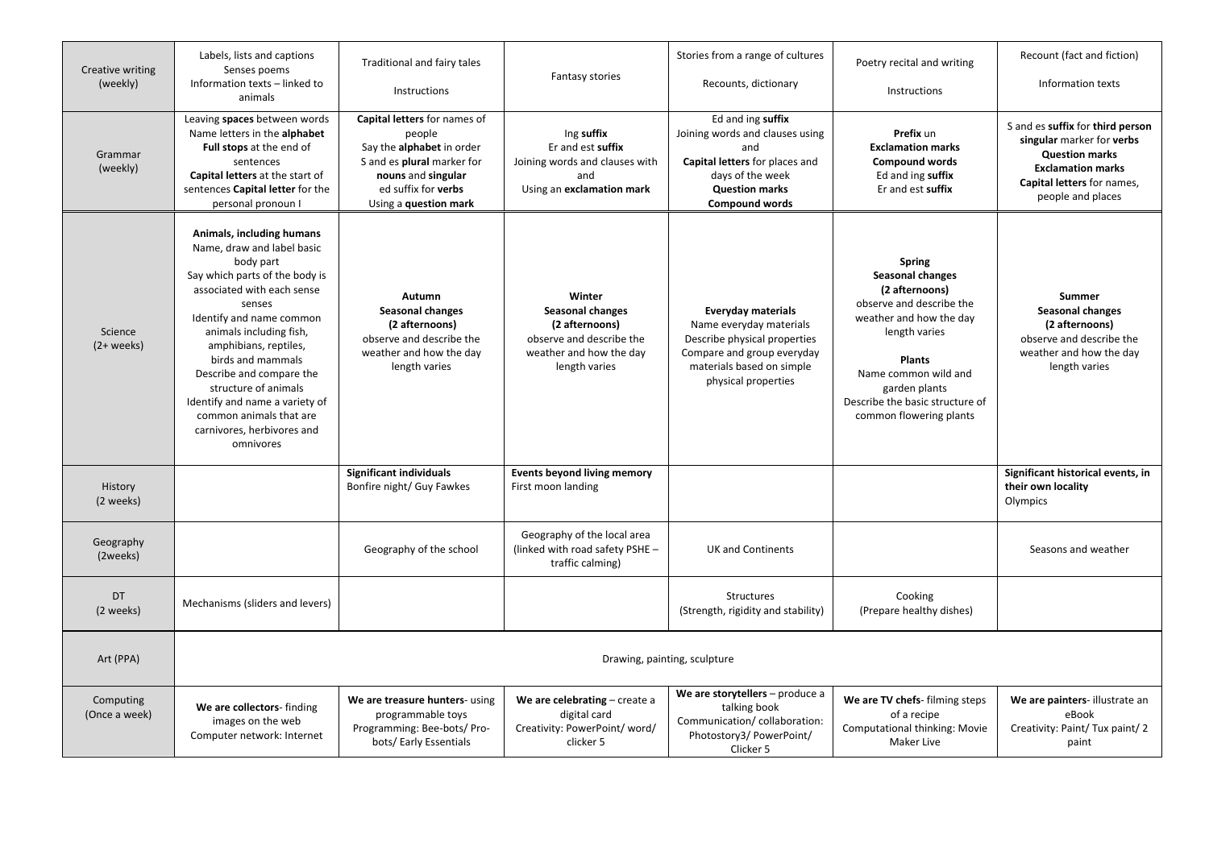| Creative writing<br>(weekly) | Labels, lists and captions<br>Senses poems<br>Information texts - linked to<br>animals                                                                                                                                                                                                                                                                                                                          | Traditional and fairy tales                                                                                                                                             | <b>Fantasy stories</b><br>Instructions                                                                                      | Stories from a range of cultures                                                                                                                                       | Poetry recital and writing                                                                                                                                                                                                                          | Recount (fact and fiction)                                                                                                                                            |  |  |  |
|------------------------------|-----------------------------------------------------------------------------------------------------------------------------------------------------------------------------------------------------------------------------------------------------------------------------------------------------------------------------------------------------------------------------------------------------------------|-------------------------------------------------------------------------------------------------------------------------------------------------------------------------|-----------------------------------------------------------------------------------------------------------------------------|------------------------------------------------------------------------------------------------------------------------------------------------------------------------|-----------------------------------------------------------------------------------------------------------------------------------------------------------------------------------------------------------------------------------------------------|-----------------------------------------------------------------------------------------------------------------------------------------------------------------------|--|--|--|
|                              |                                                                                                                                                                                                                                                                                                                                                                                                                 |                                                                                                                                                                         |                                                                                                                             | Recounts, dictionary                                                                                                                                                   | Instructions                                                                                                                                                                                                                                        | Information texts                                                                                                                                                     |  |  |  |
| Grammar<br>(weekly)          | Leaving spaces between words<br>Name letters in the alphabet<br>Full stops at the end of<br>sentences<br><b>Capital letters</b> at the start of<br>sentences Capital letter for the<br>personal pronoun I                                                                                                                                                                                                       | Capital letters for names of<br>people<br>Say the alphabet in order<br>S and es plural marker for<br>nouns and singular<br>ed suffix for verbs<br>Using a question mark | Ing suffix<br>Er and est suffix<br>Joining words and clauses with<br>and<br>Using an exclamation mark                       | Ed and ing suffix<br>Joining words and clauses using<br>and<br>Capital letters for places and<br>days of the week<br><b>Question marks</b><br><b>Compound words</b>    | Prefix un<br><b>Exclamation marks</b><br><b>Compound words</b><br>Ed and ing suffix<br>Er and est suffix                                                                                                                                            | S and es suffix for third person<br>singular marker for verbs<br><b>Question marks</b><br><b>Exclamation marks</b><br>Capital letters for names,<br>people and places |  |  |  |
| Science<br>$(2 + weeks)$     | Animals, including humans<br>Name, draw and label basic<br>body part<br>Say which parts of the body is<br>associated with each sense<br>senses<br>Identify and name common<br>animals including fish,<br>amphibians, reptiles,<br>birds and mammals<br>Describe and compare the<br>structure of animals<br>Identify and name a variety of<br>common animals that are<br>carnivores, herbivores and<br>omnivores | Autumn<br>Seasonal changes<br>(2 afternoons)<br>observe and describe the<br>weather and how the day<br>length varies                                                    | Winter<br><b>Seasonal changes</b><br>(2 afternoons)<br>observe and describe the<br>weather and how the day<br>length varies | <b>Everyday materials</b><br>Name everyday materials<br>Describe physical properties<br>Compare and group everyday<br>materials based on simple<br>physical properties | <b>Spring</b><br>Seasonal changes<br>(2 afternoons)<br>observe and describe the<br>weather and how the day<br>length varies<br><b>Plants</b><br>Name common wild and<br>garden plants<br>Describe the basic structure of<br>common flowering plants | Summer<br>Seasonal changes<br>(2 afternoons)<br>observe and describe the<br>weather and how the day<br>length varies                                                  |  |  |  |
| History<br>(2 weeks)         |                                                                                                                                                                                                                                                                                                                                                                                                                 | <b>Significant individuals</b><br>Bonfire night/ Guy Fawkes                                                                                                             | <b>Events beyond living memory</b><br>First moon landing                                                                    |                                                                                                                                                                        |                                                                                                                                                                                                                                                     | Significant historical events, in<br>their own locality<br>Olympics                                                                                                   |  |  |  |
| Geography<br>(2weeks)        |                                                                                                                                                                                                                                                                                                                                                                                                                 | Geography of the school                                                                                                                                                 | Geography of the local area<br>(linked with road safety PSHE -<br>traffic calming)                                          | <b>UK and Continents</b>                                                                                                                                               |                                                                                                                                                                                                                                                     | Seasons and weather                                                                                                                                                   |  |  |  |
| DT<br>(2 weeks)              | Mechanisms (sliders and levers)                                                                                                                                                                                                                                                                                                                                                                                 |                                                                                                                                                                         |                                                                                                                             | <b>Structures</b><br>(Strength, rigidity and stability)                                                                                                                | Cooking<br>(Prepare healthy dishes)                                                                                                                                                                                                                 |                                                                                                                                                                       |  |  |  |
| Art (PPA)                    | Drawing, painting, sculpture                                                                                                                                                                                                                                                                                                                                                                                    |                                                                                                                                                                         |                                                                                                                             |                                                                                                                                                                        |                                                                                                                                                                                                                                                     |                                                                                                                                                                       |  |  |  |
| Computing<br>(Once a week)   | We are collectors-finding<br>images on the web<br>Computer network: Internet                                                                                                                                                                                                                                                                                                                                    | We are treasure hunters- using<br>programmable toys<br>Programming: Bee-bots/ Pro-<br>bots/ Early Essentials                                                            | We are celebrating $-$ create a<br>digital card<br>Creativity: PowerPoint/word/<br>clicker 5                                | We are storytellers - produce a<br>talking book<br>Communication/collaboration:<br>Photostory3/ PowerPoint/<br>Clicker 5                                               | We are TV chefs- filming steps<br>of a recipe<br><b>Computational thinking: Movie</b><br>Maker Live                                                                                                                                                 | We are painters- illustrate an<br>eBook<br>Creativity: Paint/Tux paint/2<br>paint                                                                                     |  |  |  |